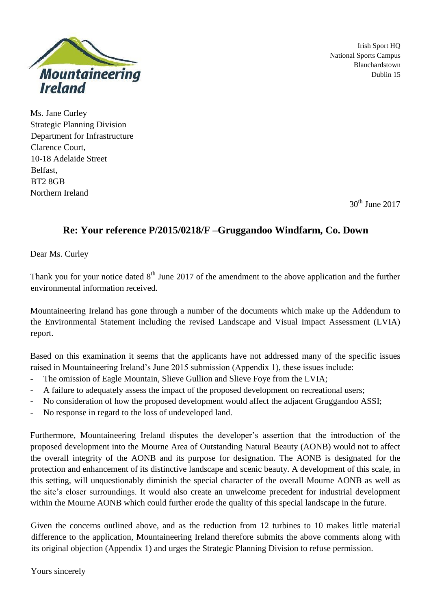

Irish Sport HQ National Sports Campus Blanchardstown Dublin 15

Ms. Jane Curley Strategic Planning Division Department for Infrastructure Clarence Court, 10-18 Adelaide Street Belfast, BT2 8GB Northern Ireland

 $30<sup>th</sup>$  June 2017

# **Re: Your reference P/2015/0218/F –Gruggandoo Windfarm, Co. Down**

Dear Ms. Curley

Thank you for your notice dated  $8<sup>th</sup>$  June 2017 of the amendment to the above application and the further environmental information received.

Mountaineering Ireland has gone through a number of the documents which make up the Addendum to the Environmental Statement including the revised Landscape and Visual Impact Assessment (LVIA) report.

Based on this examination it seems that the applicants have not addressed many of the specific issues raised in Mountaineering Ireland's June 2015 submission (Appendix 1), these issues include:

- The omission of Eagle Mountain, Slieve Gullion and Slieve Foye from the LVIA;
- A failure to adequately assess the impact of the proposed development on recreational users;
- No consideration of how the proposed development would affect the adjacent Gruggandoo ASSI;
- No response in regard to the loss of undeveloped land.

Furthermore, Mountaineering Ireland disputes the developer's assertion that the introduction of the proposed development into the Mourne Area of Outstanding Natural Beauty (AONB) would not to affect the overall integrity of the AONB and its purpose for designation. The AONB is designated for the protection and enhancement of its distinctive landscape and scenic beauty. A development of this scale, in this setting, will unquestionably diminish the special character of the overall Mourne AONB as well as the site's closer surroundings. It would also create an unwelcome precedent for industrial development within the Mourne AONB which could further erode the quality of this special landscape in the future.

Given the concerns outlined above, and as the reduction from 12 turbines to 10 makes little material difference to the application, Mountaineering Ireland therefore submits the above comments along with its original objection (Appendix 1) and urges the Strategic Planning Division to refuse permission.

Yours sincerely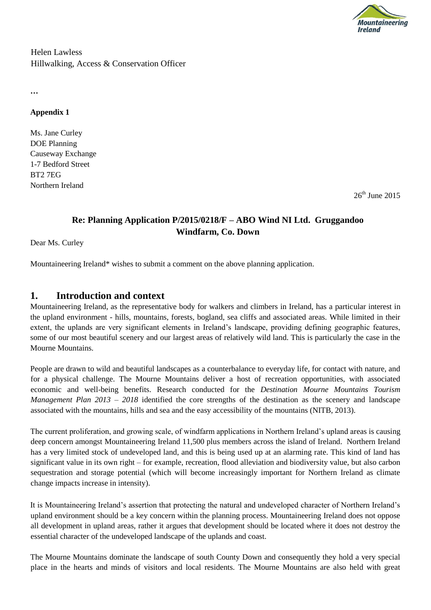

Helen Lawless Hillwalking, Access & Conservation Officer

**…**

### **Appendix 1**

Ms. Jane Curley DOE Planning Causeway Exchange 1-7 Bedford Street BT2 7EG Northern Ireland

 $26<sup>th</sup>$  June 2015

## **Re: Planning Application P/2015/0218/F – ABO Wind NI Ltd. Gruggandoo Windfarm, Co. Down**

Dear Ms. Curley

Mountaineering Ireland\* wishes to submit a comment on the above planning application.

## **1. Introduction and context**

Mountaineering Ireland, as the representative body for walkers and climbers in Ireland, has a particular interest in the upland environment - hills, mountains, forests, bogland, sea cliffs and associated areas. While limited in their extent, the uplands are very significant elements in Ireland's landscape, providing defining geographic features, some of our most beautiful scenery and our largest areas of relatively wild land. This is particularly the case in the Mourne Mountains.

People are drawn to wild and beautiful landscapes as a counterbalance to everyday life, for contact with nature, and for a physical challenge. The Mourne Mountains deliver a host of recreation opportunities, with associated economic and well-being benefits. Research conducted for the *Destination Mourne Mountains Tourism Management Plan 2013 – 2018* identified the core strengths of the destination as the scenery and landscape associated with the mountains, hills and sea and the easy accessibility of the mountains (NITB, 2013).

The current proliferation, and growing scale, of windfarm applications in Northern Ireland's upland areas is causing deep concern amongst Mountaineering Ireland 11,500 plus members across the island of Ireland. Northern Ireland has a very limited stock of undeveloped land, and this is being used up at an alarming rate. This kind of land has significant value in its own right – for example, recreation, flood alleviation and biodiversity value, but also carbon sequestration and storage potential (which will become increasingly important for Northern Ireland as climate change impacts increase in intensity).

It is Mountaineering Ireland's assertion that protecting the natural and undeveloped character of Northern Ireland's upland environment should be a key concern within the planning process. Mountaineering Ireland does not oppose all development in upland areas, rather it argues that development should be located where it does not destroy the essential character of the undeveloped landscape of the uplands and coast.

The Mourne Mountains dominate the landscape of south County Down and consequently they hold a very special place in the hearts and minds of visitors and local residents. The Mourne Mountains are also held with great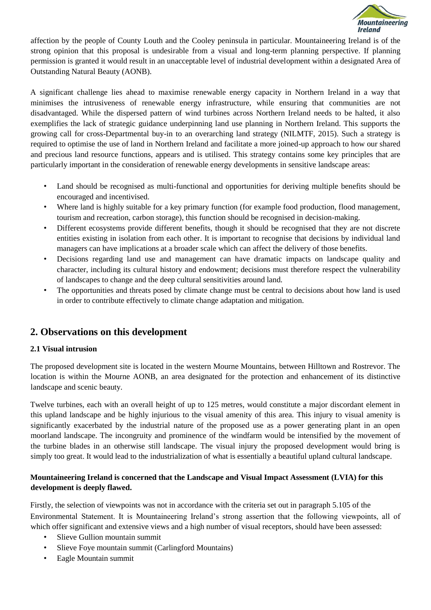

affection by the people of County Louth and the Cooley peninsula in particular. Mountaineering Ireland is of the strong opinion that this proposal is undesirable from a visual and long-term planning perspective. If planning permission is granted it would result in an unacceptable level of industrial development within a designated Area of Outstanding Natural Beauty (AONB).

A significant challenge lies ahead to maximise renewable energy capacity in Northern Ireland in a way that minimises the intrusiveness of renewable energy infrastructure, while ensuring that communities are not disadvantaged. While the dispersed pattern of wind turbines across Northern Ireland needs to be halted, it also exemplifies the lack of strategic guidance underpinning land use planning in Northern Ireland. This supports the growing call for cross-Departmental buy-in to an overarching land strategy (NILMTF, 2015). Such a strategy is required to optimise the use of land in Northern Ireland and facilitate a more joined-up approach to how our shared and precious land resource functions, appears and is utilised. This strategy contains some key principles that are particularly important in the consideration of renewable energy developments in sensitive landscape areas:

- Land should be recognised as multi-functional and opportunities for deriving multiple benefits should be encouraged and incentivised.
- Where land is highly suitable for a key primary function (for example food production, flood management, tourism and recreation, carbon storage), this function should be recognised in decision-making.
- Different ecosystems provide different benefits, though it should be recognised that they are not discrete entities existing in isolation from each other. It is important to recognise that decisions by individual land managers can have implications at a broader scale which can affect the delivery of those benefits.
- Decisions regarding land use and management can have dramatic impacts on landscape quality and character, including its cultural history and endowment; decisions must therefore respect the vulnerability of landscapes to change and the deep cultural sensitivities around land.
- The opportunities and threats posed by climate change must be central to decisions about how land is used in order to contribute effectively to climate change adaptation and mitigation.

## **2. Observations on this development**

### **2.1 Visual intrusion**

The proposed development site is located in the western Mourne Mountains, between Hilltown and Rostrevor. The location is within the Mourne AONB, an area designated for the protection and enhancement of its distinctive landscape and scenic beauty.

Twelve turbines, each with an overall height of up to 125 metres, would constitute a major discordant element in this upland landscape and be highly injurious to the visual amenity of this area. This injury to visual amenity is significantly exacerbated by the industrial nature of the proposed use as a power generating plant in an open moorland landscape. The incongruity and prominence of the windfarm would be intensified by the movement of the turbine blades in an otherwise still landscape. The visual injury the proposed development would bring is simply too great. It would lead to the industrialization of what is essentially a beautiful upland cultural landscape.

### **Mountaineering Ireland is concerned that the Landscape and Visual Impact Assessment (LVIA) for this development is deeply flawed.**

Firstly, the selection of viewpoints was not in accordance with the criteria set out in paragraph 5.105 of the Environmental Statement. It is Mountaineering Ireland's strong assertion that the following viewpoints, all of which offer significant and extensive views and a high number of visual receptors, should have been assessed:

- Slieve Gullion mountain summit
- Slieve Foye mountain summit (Carlingford Mountains)
- Eagle Mountain summit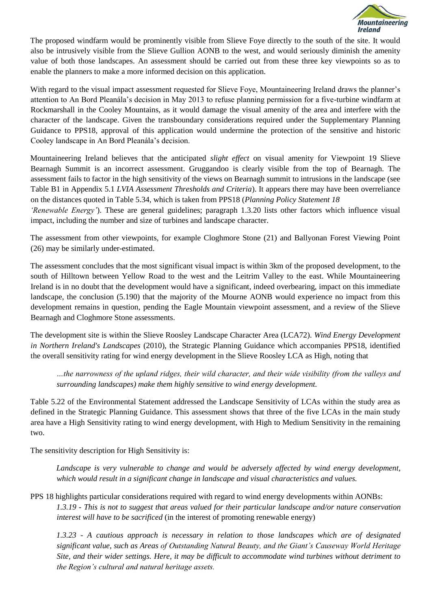

The proposed windfarm would be prominently visible from Slieve Foye directly to the south of the site. It would also be intrusively visible from the Slieve Gullion AONB to the west, and would seriously diminish the amenity value of both those landscapes. An assessment should be carried out from these three key viewpoints so as to enable the planners to make a more informed decision on this application.

With regard to the visual impact assessment requested for Slieve Foye, Mountaineering Ireland draws the planner's attention to An Bord Pleanála's decision in May 2013 to refuse planning permission for a five-turbine windfarm at Rockmarshall in the Cooley Mountains, as it would damage the visual amenity of the area and interfere with the character of the landscape. Given the transboundary considerations required under the Supplementary Planning Guidance to PPS18, approval of this application would undermine the protection of the sensitive and historic Cooley landscape in An Bord Pleanála's decision.

Mountaineering Ireland believes that the anticipated *slight effect* on visual amenity for Viewpoint 19 Slieve Bearnagh Summit is an incorrect assessment. Gruggandoo is clearly visible from the top of Bearnagh. The assessment fails to factor in the high sensitivity of the views on Bearnagh summit to intrusions in the landscape (see Table B1 in Appendix 5.1 *LVIA Assessment Thresholds and Criteria*). It appears there may have been overreliance on the distances quoted in Table 5.34, which is taken from PPS18 (*Planning Policy Statement 18* 

*'Renewable Energy'*). These are general guidelines; paragraph 1.3.20 lists other factors which influence visual impact, including the number and size of turbines and landscape character.

The assessment from other viewpoints, for example Cloghmore Stone (21) and Ballyonan Forest Viewing Point (26) may be similarly under-estimated.

The assessment concludes that the most significant visual impact is within 3km of the proposed development, to the south of Hilltown between Yellow Road to the west and the Leitrim Valley to the east. While Mountaineering Ireland is in no doubt that the development would have a significant, indeed overbearing, impact on this immediate landscape, the conclusion (5.190) that the majority of the Mourne AONB would experience no impact from this development remains in question, pending the Eagle Mountain viewpoint assessment, and a review of the Slieve Bearnagh and Cloghmore Stone assessments.

The development site is within the Slieve Roosley Landscape Character Area (LCA72). *Wind Energy Development in Northern Ireland's Landscapes* (2010), the Strategic Planning Guidance which accompanies PPS18, identified the overall sensitivity rating for wind energy development in the Slieve Roosley LCA as High, noting that

*…the narrowness of the upland ridges, their wild character, and their wide visibility (from the valleys and surrounding landscapes) make them highly sensitive to wind energy development.* 

Table 5.22 of the Environmental Statement addressed the Landscape Sensitivity of LCAs within the study area as defined in the Strategic Planning Guidance. This assessment shows that three of the five LCAs in the main study area have a High Sensitivity rating to wind energy development, with High to Medium Sensitivity in the remaining two.

The sensitivity description for High Sensitivity is:

Landscape is very vulnerable to change and would be adversely affected by wind energy development, *which would result in a significant change in landscape and visual characteristics and values.* 

PPS 18 highlights particular considerations required with regard to wind energy developments within AONBs: *1.3.19 - This is not to suggest that areas valued for their particular landscape and/or nature conservation interest will have to be sacrificed* (in the interest of promoting renewable energy)

*1.3.23* - *A cautious approach is necessary in relation to those landscapes which are of designated significant value, such as Areas of Outstanding Natural Beauty, and the Giant's Causeway World Heritage Site, and their wider settings. Here, it may be difficult to accommodate wind turbines without detriment to the Region's cultural and natural heritage assets.*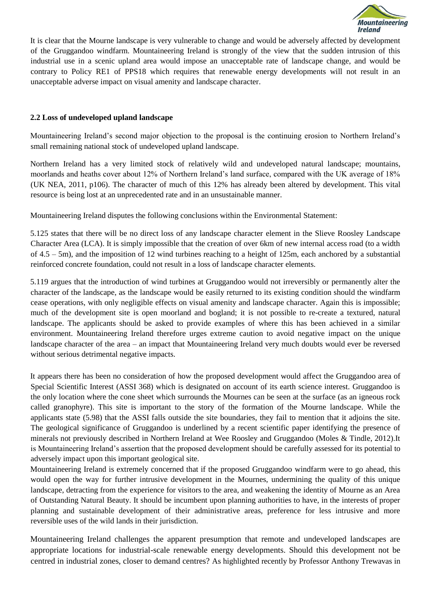

It is clear that the Mourne landscape is very vulnerable to change and would be adversely affected by development of the Gruggandoo windfarm. Mountaineering Ireland is strongly of the view that the sudden intrusion of this industrial use in a scenic upland area would impose an unacceptable rate of landscape change, and would be contrary to Policy RE1 of PPS18 which requires that renewable energy developments will not result in an unacceptable adverse impact on visual amenity and landscape character.

#### **2.2 Loss of undeveloped upland landscape**

Mountaineering Ireland's second major objection to the proposal is the continuing erosion to Northern Ireland's small remaining national stock of undeveloped upland landscape.

Northern Ireland has a very limited stock of relatively wild and undeveloped natural landscape; mountains, moorlands and heaths cover about 12% of Northern Ireland's land surface, compared with the UK average of 18% (UK NEA, 2011, p106). The character of much of this 12% has already been altered by development. This vital resource is being lost at an unprecedented rate and in an unsustainable manner.

Mountaineering Ireland disputes the following conclusions within the Environmental Statement:

5.125 states that there will be no direct loss of any landscape character element in the Slieve Roosley Landscape Character Area (LCA). It is simply impossible that the creation of over 6km of new internal access road (to a width of  $4.5 - 5$ m), and the imposition of 12 wind turbines reaching to a height of 125m, each anchored by a substantial reinforced concrete foundation, could not result in a loss of landscape character elements.

5.119 argues that the introduction of wind turbines at Gruggandoo would not irreversibly or permanently alter the character of the landscape, as the landscape would be easily returned to its existing condition should the windfarm cease operations, with only negligible effects on visual amenity and landscape character. Again this is impossible; much of the development site is open moorland and bogland; it is not possible to re-create a textured, natural landscape. The applicants should be asked to provide examples of where this has been achieved in a similar environment. Mountaineering Ireland therefore urges extreme caution to avoid negative impact on the unique landscape character of the area – an impact that Mountaineering Ireland very much doubts would ever be reversed without serious detrimental negative impacts.

It appears there has been no consideration of how the proposed development would affect the Gruggandoo area of Special Scientific Interest (ASSI 368) which is designated on account of its earth science interest. Gruggandoo is the only location where the cone sheet which surrounds the Mournes can be seen at the surface (as an igneous rock called granophyre). This site is important to the story of the formation of the Mourne landscape. While the applicants state (5.98) that the ASSI falls outside the site boundaries, they fail to mention that it adjoins the site. The geological significance of Gruggandoo is underlined by a recent scientific paper identifying the presence of minerals not previously described in Northern Ireland at Wee Roosley and Gruggandoo (Moles & Tindle, 2012).It is Mountaineering Ireland's assertion that the proposed development should be carefully assessed for its potential to adversely impact upon this important geological site.

Mountaineering Ireland is extremely concerned that if the proposed Gruggandoo windfarm were to go ahead, this would open the way for further intrusive development in the Mournes, undermining the quality of this unique landscape, detracting from the experience for visitors to the area, and weakening the identity of Mourne as an Area of Outstanding Natural Beauty. It should be incumbent upon planning authorities to have, in the interests of proper planning and sustainable development of their administrative areas, preference for less intrusive and more reversible uses of the wild lands in their jurisdiction.

Mountaineering Ireland challenges the apparent presumption that remote and undeveloped landscapes are appropriate locations for industrial-scale renewable energy developments. Should this development not be centred in industrial zones, closer to demand centres? As highlighted recently by Professor Anthony Trewavas in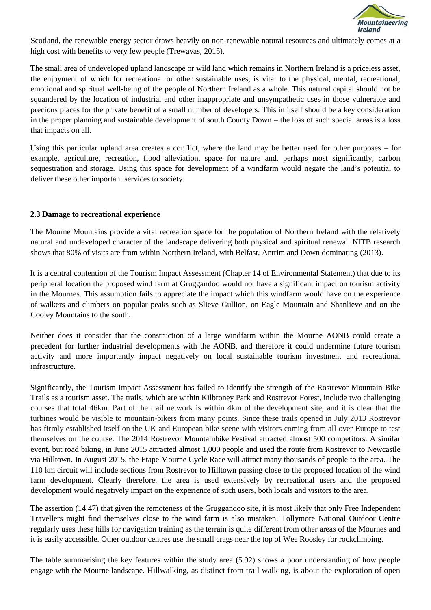

Scotland, the renewable energy sector draws heavily on non-renewable natural resources and ultimately comes at a high cost with benefits to very few people (Trewavas, 2015).

The small area of undeveloped upland landscape or wild land which remains in Northern Ireland is a priceless asset, the enjoyment of which for recreational or other sustainable uses, is vital to the physical, mental, recreational, emotional and spiritual well-being of the people of Northern Ireland as a whole. This natural capital should not be squandered by the location of industrial and other inappropriate and unsympathetic uses in those vulnerable and precious places for the private benefit of a small number of developers. This in itself should be a key consideration in the proper planning and sustainable development of south County Down – the loss of such special areas is a loss that impacts on all.

Using this particular upland area creates a conflict, where the land may be better used for other purposes – for example, agriculture, recreation, flood alleviation, space for nature and, perhaps most significantly, carbon sequestration and storage. Using this space for development of a windfarm would negate the land's potential to deliver these other important services to society.

#### **2.3 Damage to recreational experience**

The Mourne Mountains provide a vital recreation space for the population of Northern Ireland with the relatively natural and undeveloped character of the landscape delivering both physical and spiritual renewal. NITB research shows that 80% of visits are from within Northern Ireland, with Belfast, Antrim and Down dominating (2013).

It is a central contention of the Tourism Impact Assessment (Chapter 14 of Environmental Statement) that due to its peripheral location the proposed wind farm at Gruggandoo would not have a significant impact on tourism activity in the Mournes. This assumption fails to appreciate the impact which this windfarm would have on the experience of walkers and climbers on popular peaks such as Slieve Gullion, on Eagle Mountain and Shanlieve and on the Cooley Mountains to the south.

Neither does it consider that the construction of a large windfarm within the Mourne AONB could create a precedent for further industrial developments with the AONB, and therefore it could undermine future tourism activity and more importantly impact negatively on local sustainable tourism investment and recreational infrastructure.

Significantly, the Tourism Impact Assessment has failed to identify the strength of the Rostrevor Mountain Bike Trails as a tourism asset. The trails, which are within Kilbroney Park and Rostrevor Forest, include two challenging courses that total 46km. Part of the trail network is within 4km of the development site, and it is clear that the turbines would be visible to mountain-bikers from many points. Since these trails opened in July 2013 Rostrevor has firmly established itself on the UK and European bike scene with visitors coming from all over Europe to test themselves on the course. The 2014 Rostrevor Mountainbike Festival attracted almost 500 competitors. A similar event, but road biking, in June 2015 attracted almost 1,000 people and used the route from Rostrevor to Newcastle via Hilltown. In August 2015, the Etape Mourne Cycle Race will attract many thousands of people to the area. The 110 km circuit will include sections from Rostrevor to Hilltown passing close to the proposed location of the wind farm development. Clearly therefore, the area is used extensively by recreational users and the proposed development would negatively impact on the experience of such users, both locals and visitors to the area.

The assertion (14.47) that given the remoteness of the Gruggandoo site, it is most likely that only Free Independent Travellers might find themselves close to the wind farm is also mistaken. Tollymore National Outdoor Centre regularly uses these hills for navigation training as the terrain is quite different from other areas of the Mournes and it is easily accessible. Other outdoor centres use the small crags near the top of Wee Roosley for rockclimbing.

The table summarising the key features within the study area (5.92) shows a poor understanding of how people engage with the Mourne landscape. Hillwalking, as distinct from trail walking, is about the exploration of open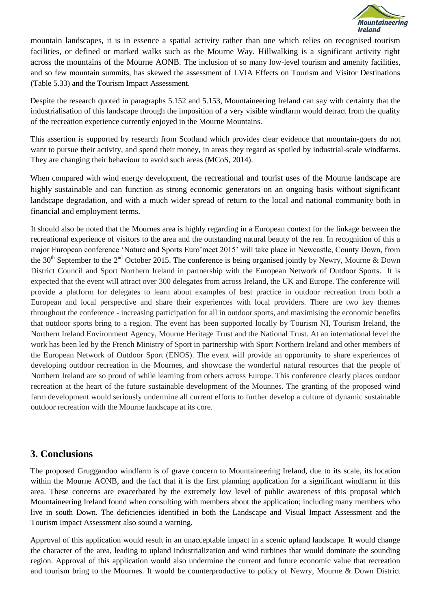

mountain landscapes, it is in essence a spatial activity rather than one which relies on recognised tourism facilities, or defined or marked walks such as the Mourne Way. Hillwalking is a significant activity right across the mountains of the Mourne AONB. The inclusion of so many low-level tourism and amenity facilities, and so few mountain summits, has skewed the assessment of LVIA Effects on Tourism and Visitor Destinations (Table 5.33) and the Tourism Impact Assessment.

Despite the research quoted in paragraphs 5.152 and 5.153, Mountaineering Ireland can say with certainty that the industrialisation of this landscape through the imposition of a very visible windfarm would detract from the quality of the recreation experience currently enjoyed in the Mourne Mountains.

This assertion is supported by research from Scotland which provides clear evidence that mountain-goers do not want to pursue their activity, and spend their money, in areas they regard as spoiled by industrial-scale windfarms. They are changing their behaviour to avoid such areas (MCoS, 2014).

When compared with wind energy development, the recreational and tourist uses of the Mourne landscape are highly sustainable and can function as strong economic generators on an ongoing basis without significant landscape degradation, and with a much wider spread of return to the local and national community both in financial and employment terms.

It should also be noted that the Mournes area is highly regarding in a European context for the linkage between the recreational experience of visitors to the area and the outstanding natural beauty of the rea. In recognition of this a major European conference 'Nature and Sports Euro'meet 2015' will take place in Newcastle, County Down, from the 30<sup>th</sup> September to the 2<sup>nd</sup> October 2015. The conference is being organised jointly by Newry, Mourne & Down District Council and Sport Northern Ireland in partnership with th[e](http://www.nature-sports.eu/) [European Network of Outdoor Sports.](http://www.nature-sports.eu/) It is expected that the event will attract over 300 delegates from across Ireland, the UK and Europe. The conference will provide a platform for delegates to learn about examples of best practice in outdoor recreation from both a European and local perspective and share their experiences with local providers. There are two key themes throughout the conference - increasing participation for all in outdoor sports, and maximising the economic benefits that outdoor sports bring to a region. The event has been supported locally by Tourism NI, Tourism Ireland, the Northern Ireland Environment Agency, Mourne Heritage Trust and the National Trust. At an international level the work has been led by the French Ministry of Sport in partnership with Sport Northern Ireland and other members of the European Network of Outdoor Sport (ENOS). The event will provide an opportunity to share experiences of developing outdoor recreation in the Mournes, and showcase the wonderful natural resources that the people of Northern Ireland are so proud of while learning from others across Europe. This conference clearly places outdoor recreation at the heart of the future sustainable development of the Mounnes. The granting of the proposed wind farm development would seriously undermine all current efforts to further develop a culture of dynamic sustainable outdoor recreation with the Mourne landscape at its core.

## **3. Conclusions**

The proposed Gruggandoo windfarm is of grave concern to Mountaineering Ireland, due to its scale, its location within the Mourne AONB, and the fact that it is the first planning application for a significant windfarm in this area. These concerns are exacerbated by the extremely low level of public awareness of this proposal which Mountaineering Ireland found when consulting with members about the application; including many members who live in south Down. The deficiencies identified in both the Landscape and Visual Impact Assessment and the Tourism Impact Assessment also sound a warning.

Approval of this application would result in an unacceptable impact in a scenic upland landscape. It would change the character of the area, leading to upland industrialization and wind turbines that would dominate the sounding region. Approval of this application would also undermine the current and future economic value that recreation and tourism bring to the Mournes. It would be counterproductive to policy of Newry, Mourne & Down District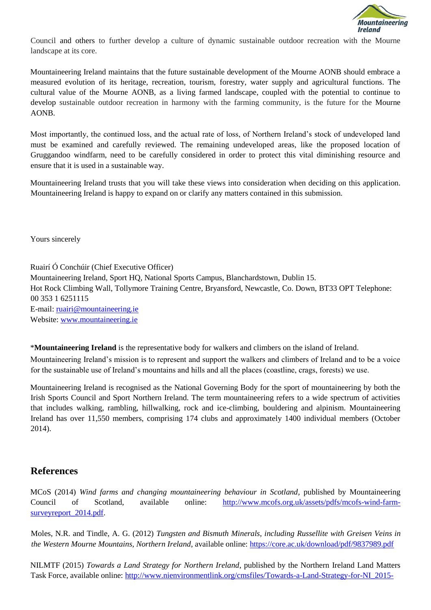

Council and others to further develop a culture of dynamic sustainable outdoor recreation with the Mourne landscape at its core.

Mountaineering Ireland maintains that the future sustainable development of the Mourne AONB should embrace a measured evolution of its heritage, recreation, tourism, forestry, water supply and agricultural functions. The cultural value of the Mourne AONB, as a living farmed landscape, coupled with the potential to continue to develop sustainable outdoor recreation in harmony with the farming community, is the future for the Mourne AONB.

Most importantly, the continued loss, and the actual rate of loss, of Northern Ireland's stock of undeveloped land must be examined and carefully reviewed. The remaining undeveloped areas, like the proposed location of Gruggandoo windfarm, need to be carefully considered in order to protect this vital diminishing resource and ensure that it is used in a sustainable way.

Mountaineering Ireland trusts that you will take these views into consideration when deciding on this application. Mountaineering Ireland is happy to expand on or clarify any matters contained in this submission.

Yours sincerely

Ruairí Ó Conchúir (Chief Executive Officer) Mountaineering Ireland, Sport HQ, National Sports Campus, Blanchardstown, Dublin 15. Hot Rock Climbing Wall, Tollymore Training Centre, Bryansford, Newcastle, Co. Down, BT33 OPT Telephone: 00 353 1 6251115 E-mail: ruairi@mountaineering.ie Website[: www.mountaineering.ie](http://www.mountaineering.ie/)

\***Mountaineering Ireland** is the representative body for walkers and climbers on the island of Ireland.

Mountaineering Ireland's mission is to represent and support the walkers and climbers of Ireland and to be a voice for the sustainable use of Ireland's mountains and hills and all the places (coastline, crags, forests) we use.

Mountaineering Ireland is recognised as the National Governing Body for the sport of mountaineering by both the Irish Sports Council and Sport Northern Ireland. The term mountaineering refers to a wide spectrum of activities that includes walking, rambling, hillwalking, rock and ice-climbing, bouldering and alpinism. Mountaineering Ireland has over 11,550 members, comprising 174 clubs and approximately 1400 individual members (October 2014).

## **References**

MCoS (2014) *Wind farms and changing mountaineering behaviour in Scotland,* published by Mountaineering Council of Scotland, available online: [http://www.mcofs.org.uk/assets/pdfs/mcofs-wind-farm](http://www.mcofs.org.uk/assets/pdfs/mcofs-wind-farm-survey-report_2014.pdf)[surveyreport\\_2014.pdf.](http://www.mcofs.org.uk/assets/pdfs/mcofs-wind-farm-survey-report_2014.pdf)

Moles, N.R. and Tindle, A. G. (2012) *Tungsten and Bismuth Minerals, including Russellite with Greisen Veins in the Western Mourne Mountains, Northern Ireland*, available online:<https://core.ac.uk/download/pdf/9837989.pdf>

NILMTF (2015) *Towards a Land Strategy for Northern Ireland*, published by the Northern Ireland Land Matters Task Force, available online: [http://www.nienvironmentlink.org/cmsfiles/Towards-a-Land-Strategy-for-NI\\_2015-](http://www.nienvironmentlink.org/cmsfiles/Towards-a-Land-Strategy-for-NI_2015-Main-Report.pdf)